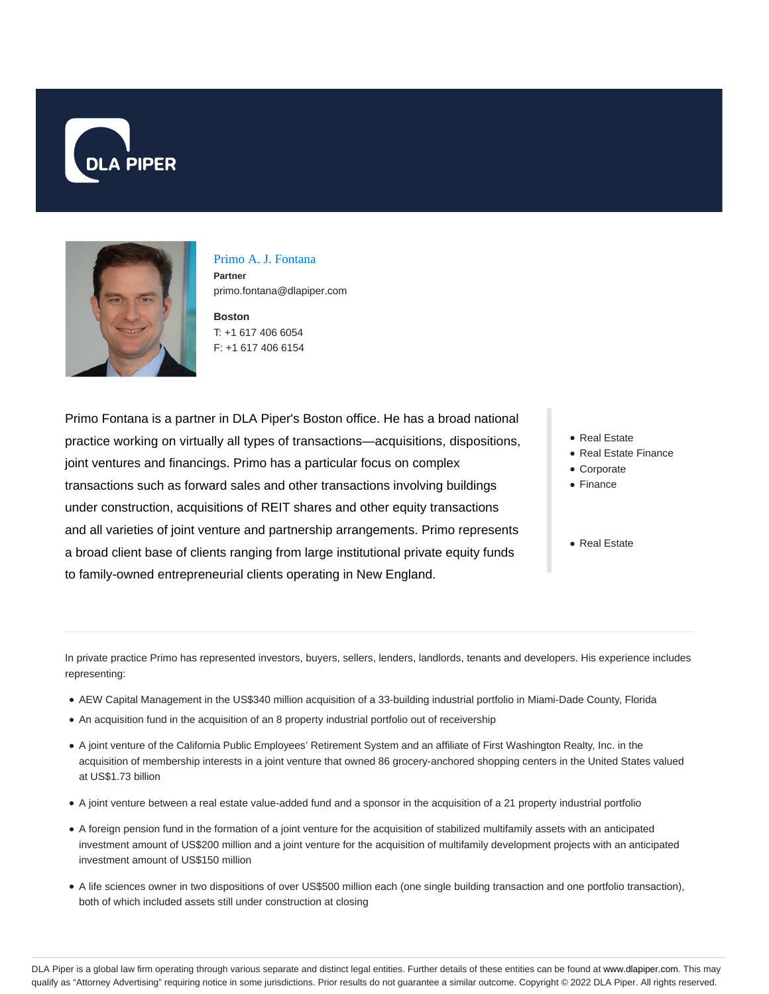



Primo A. J. Fontana **Partner** primo.fontana@dlapiper.com

**Boston** T: +1 617 406 6054 F: +1 617 406 6154

Primo Fontana is a partner in DLA Piper's Boston office. He has a broad national practice working on virtually all types of transactions—acquisitions, dispositions, joint ventures and financings. Primo has a particular focus on complex transactions such as forward sales and other transactions involving buildings under construction, acquisitions of REIT shares and other equity transactions and all varieties of joint venture and partnership arrangements. Primo represents a broad client base of clients ranging from large institutional private equity funds to family-owned entrepreneurial clients operating in New England.

- Real Estate
- Real Estate Finance
- Corporate
- Finance
- Real Estate

In private practice Primo has represented investors, buyers, sellers, lenders, landlords, tenants and developers. His experience includes representing:

- AEW Capital Management in the US\$340 million acquisition of a 33-building industrial portfolio in Miami-Dade County, Florida
- An acquisition fund in the acquisition of an 8 property industrial portfolio out of receivership
- A joint venture of the California Public Employees' Retirement System and an affiliate of First Washington Realty, Inc. in the acquisition of membership interests in a joint venture that owned 86 grocery-anchored shopping centers in the United States valued at US\$1.73 billion
- A joint venture between a real estate value-added fund and a sponsor in the acquisition of a 21 property industrial portfolio
- A foreign pension fund in the formation of a joint venture for the acquisition of stabilized multifamily assets with an anticipated investment amount of US\$200 million and a joint venture for the acquisition of multifamily development projects with an anticipated investment amount of US\$150 million
- A life sciences owner in two dispositions of over US\$500 million each (one single building transaction and one portfolio transaction), both of which included assets still under construction at closing

DLA Piper is a global law firm operating through various separate and distinct legal entities. Further details of these entities can be found at www.dlapiper.com. This may qualify as "Attorney Advertising" requiring notice in some jurisdictions. Prior results do not guarantee a similar outcome. Copyright © 2022 DLA Piper. All rights reserved.